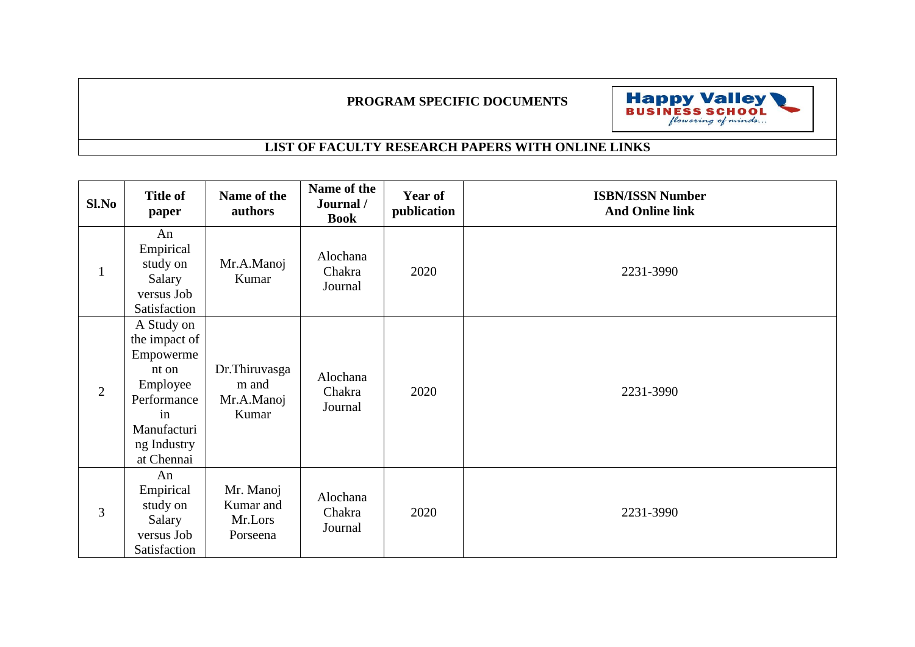## **PROGRAM SPECIFIC DOCUMENTS**



## **LIST OF FACULTY RESEARCH PAPERS WITH ONLINE LINKS**

| Sl.No          | <b>Title of</b><br>paper                                                                                                       | Name of the<br>authors                        | Name of the<br>Journal /<br><b>Book</b> | Year of<br>publication | <b>ISBN/ISSN Number</b><br><b>And Online link</b> |
|----------------|--------------------------------------------------------------------------------------------------------------------------------|-----------------------------------------------|-----------------------------------------|------------------------|---------------------------------------------------|
| $\mathbf{1}$   | An<br>Empirical<br>study on<br>Salary<br>versus Job<br>Satisfaction                                                            | Mr.A.Manoj<br>Kumar                           | Alochana<br>Chakra<br>Journal           | 2020                   | 2231-3990                                         |
| $\overline{2}$ | A Study on<br>the impact of<br>Empowerme<br>nt on<br>Employee<br>Performance<br>in<br>Manufacturi<br>ng Industry<br>at Chennai | Dr.Thiruvasga<br>m and<br>Mr.A.Manoj<br>Kumar | Alochana<br>Chakra<br>Journal           | 2020                   | 2231-3990                                         |
| 3              | An<br>Empirical<br>study on<br>Salary<br>versus Job<br>Satisfaction                                                            | Mr. Manoj<br>Kumar and<br>Mr.Lors<br>Porseena | Alochana<br>Chakra<br>Journal           | 2020                   | 2231-3990                                         |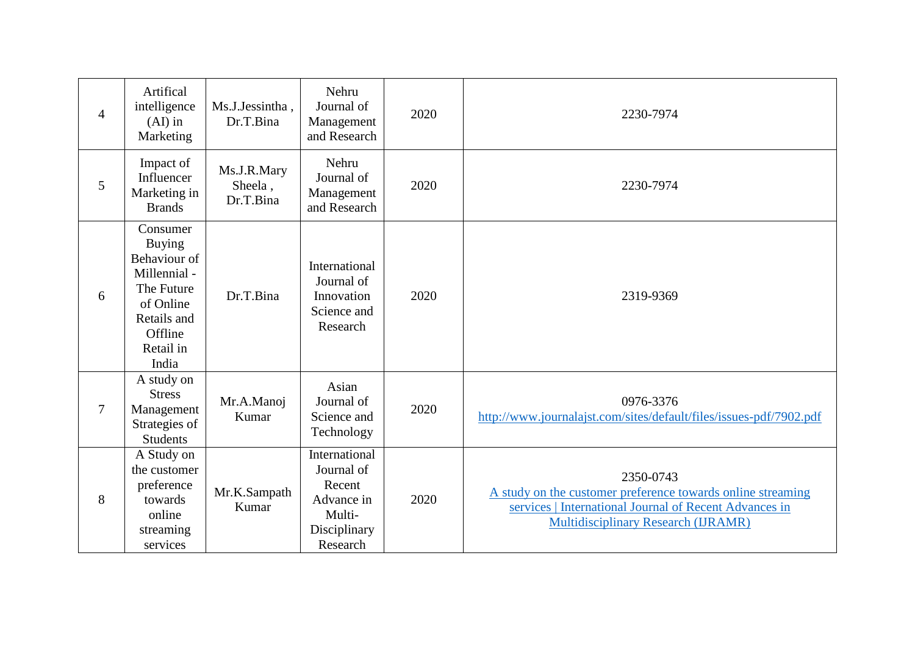| $\overline{4}$ | Artifical<br>intelligence<br>$(AI)$ in<br>Marketing                                                                                  | Ms.J.Jessintha,<br>Dr.T.Bina        | Nehru<br>Journal of<br>Management<br>and Research                                         | 2020 | 2230-7974                                                                                                                                                                        |
|----------------|--------------------------------------------------------------------------------------------------------------------------------------|-------------------------------------|-------------------------------------------------------------------------------------------|------|----------------------------------------------------------------------------------------------------------------------------------------------------------------------------------|
| 5              | Impact of<br>Influencer<br>Marketing in<br><b>Brands</b>                                                                             | Ms.J.R.Mary<br>Sheela,<br>Dr.T.Bina | Nehru<br>Journal of<br>Management<br>and Research                                         | 2020 | 2230-7974                                                                                                                                                                        |
| 6              | Consumer<br><b>Buying</b><br>Behaviour of<br>Millennial -<br>The Future<br>of Online<br>Retails and<br>Offline<br>Retail in<br>India | Dr.T.Bina                           | International<br>Journal of<br>Innovation<br>Science and<br>Research                      | 2020 | 2319-9369                                                                                                                                                                        |
| 7              | A study on<br><b>Stress</b><br>Management<br>Strategies of<br><b>Students</b>                                                        | Mr.A.Manoj<br>Kumar                 | Asian<br>Journal of<br>Science and<br>Technology                                          | 2020 | 0976-3376<br>http://www.journalajst.com/sites/default/files/issues-pdf/7902.pdf                                                                                                  |
| 8              | A Study on<br>the customer<br>preference<br>towards<br>online<br>streaming<br>services                                               | Mr.K.Sampath<br>Kumar               | International<br>Journal of<br>Recent<br>Advance in<br>Multi-<br>Disciplinary<br>Research | 2020 | 2350-0743<br>A study on the customer preference towards online streaming<br>services   International Journal of Recent Advances in<br><b>Multidisciplinary Research (IJRAMR)</b> |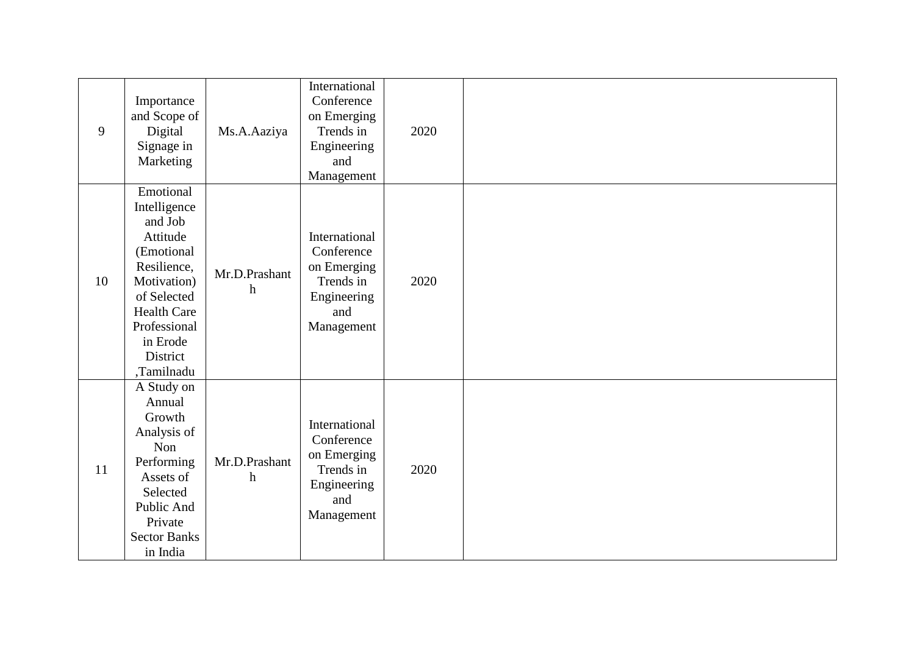| 9  | Importance<br>and Scope of<br>Digital<br>Signage in<br>Marketing                                                                                                                        | Ms.A.Aaziya                                | International<br>Conference<br>on Emerging<br>Trends in<br>Engineering<br>and<br>Management | 2020 |  |
|----|-----------------------------------------------------------------------------------------------------------------------------------------------------------------------------------------|--------------------------------------------|---------------------------------------------------------------------------------------------|------|--|
| 10 | Emotional<br>Intelligence<br>and Job<br>Attitude<br>(Emotional<br>Resilience,<br>Motivation)<br>of Selected<br><b>Health Care</b><br>Professional<br>in Erode<br>District<br>,Tamilnadu | Mr.D.Prashant<br>$\boldsymbol{\mathrm{h}}$ | International<br>Conference<br>on Emerging<br>Trends in<br>Engineering<br>and<br>Management | 2020 |  |
| 11 | A Study on<br>Annual<br>Growth<br>Analysis of<br>Non<br>Performing<br>Assets of<br>Selected<br>Public And<br>Private<br><b>Sector Banks</b><br>in India                                 | Mr.D.Prashant<br>$\boldsymbol{\mathrm{h}}$ | International<br>Conference<br>on Emerging<br>Trends in<br>Engineering<br>and<br>Management | 2020 |  |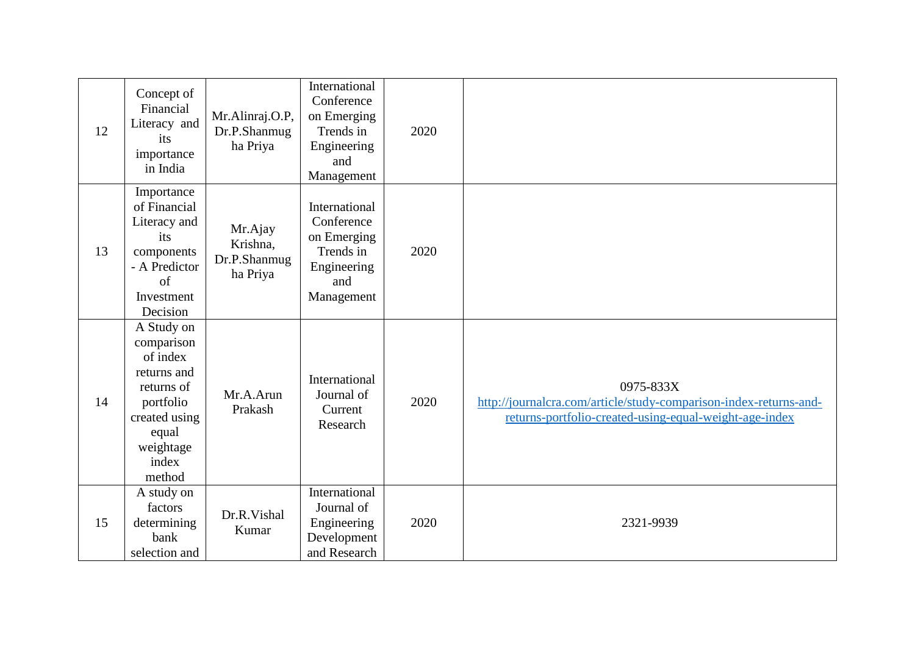| 12 | Concept of<br>Financial<br>Literacy and<br>its<br>importance<br>in India                                                                 | Mr.Alinraj.O.P,<br>Dr.P.Shanmug<br>ha Priya     | International<br>Conference<br>on Emerging<br>Trends in<br>Engineering<br>and<br>Management | 2020 |                                                                                                                                          |
|----|------------------------------------------------------------------------------------------------------------------------------------------|-------------------------------------------------|---------------------------------------------------------------------------------------------|------|------------------------------------------------------------------------------------------------------------------------------------------|
| 13 | Importance<br>of Financial<br>Literacy and<br>its<br>components<br>- A Predictor<br>of<br>Investment<br>Decision                         | Mr.Ajay<br>Krishna,<br>Dr.P.Shanmug<br>ha Priya | International<br>Conference<br>on Emerging<br>Trends in<br>Engineering<br>and<br>Management | 2020 |                                                                                                                                          |
| 14 | A Study on<br>comparison<br>of index<br>returns and<br>returns of<br>portfolio<br>created using<br>equal<br>weightage<br>index<br>method | Mr.A.Arun<br>Prakash                            | International<br>Journal of<br>Current<br>Research                                          | 2020 | 0975-833X<br>http://journalcra.com/article/study-comparison-index-returns-and-<br>returns-portfolio-created-using-equal-weight-age-index |
| 15 | A study on<br>factors<br>determining<br>bank<br>selection and                                                                            | Dr.R.Vishal<br>Kumar                            | International<br>Journal of<br>Engineering<br>Development<br>and Research                   | 2020 | 2321-9939                                                                                                                                |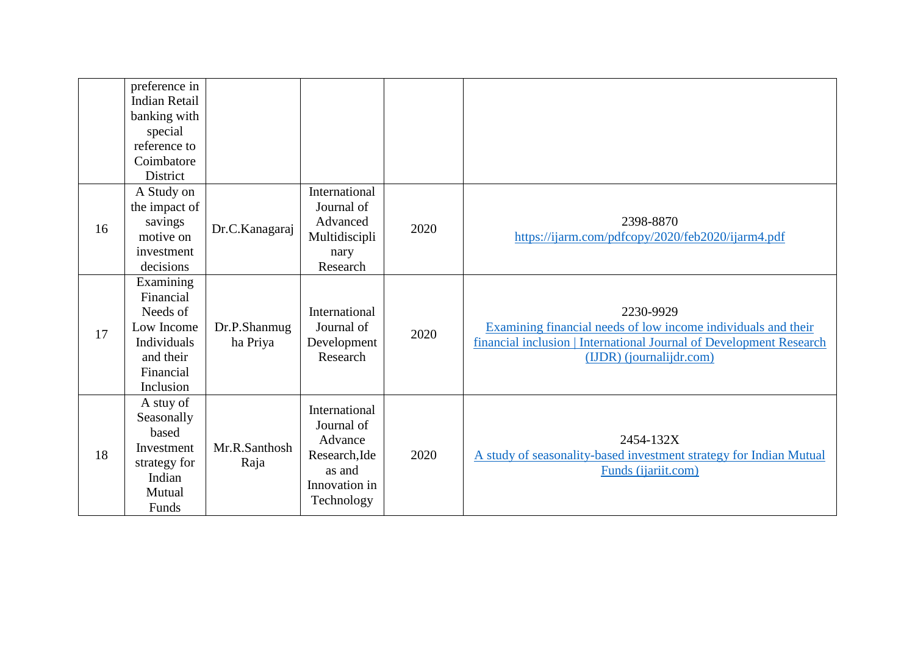|    | preference in<br><b>Indian Retail</b><br>banking with<br>special<br>reference to<br>Coimbatore<br>District |                          |                                                                                                  |      |                                                                                                                                                                               |
|----|------------------------------------------------------------------------------------------------------------|--------------------------|--------------------------------------------------------------------------------------------------|------|-------------------------------------------------------------------------------------------------------------------------------------------------------------------------------|
| 16 | A Study on<br>the impact of<br>savings<br>motive on<br>investment<br>decisions                             | Dr.C.Kanagaraj           | International<br>Journal of<br>Advanced<br>Multidiscipli<br>nary<br>Research                     | 2020 | 2398-8870<br>https://ijarm.com/pdfcopy/2020/feb2020/ijarm4.pdf                                                                                                                |
| 17 | Examining<br>Financial<br>Needs of<br>Low Income<br>Individuals<br>and their<br>Financial<br>Inclusion     | Dr.P.Shanmug<br>ha Priya | International<br>Journal of<br>Development<br>Research                                           | 2020 | 2230-9929<br>Examining financial needs of low income individuals and their<br>financial inclusion   International Journal of Development Research<br>(IJDR) (journalijdr.com) |
| 18 | A stuy of<br>Seasonally<br>based<br>Investment<br>strategy for<br>Indian<br>Mutual<br>Funds                | Mr.R.Santhosh<br>Raja    | International<br>Journal of<br>Advance<br>Research, Ide<br>as and<br>Innovation in<br>Technology | 2020 | 2454-132X<br>A study of seasonality-based investment strategy for Indian Mutual<br>Funds (ijariit.com)                                                                        |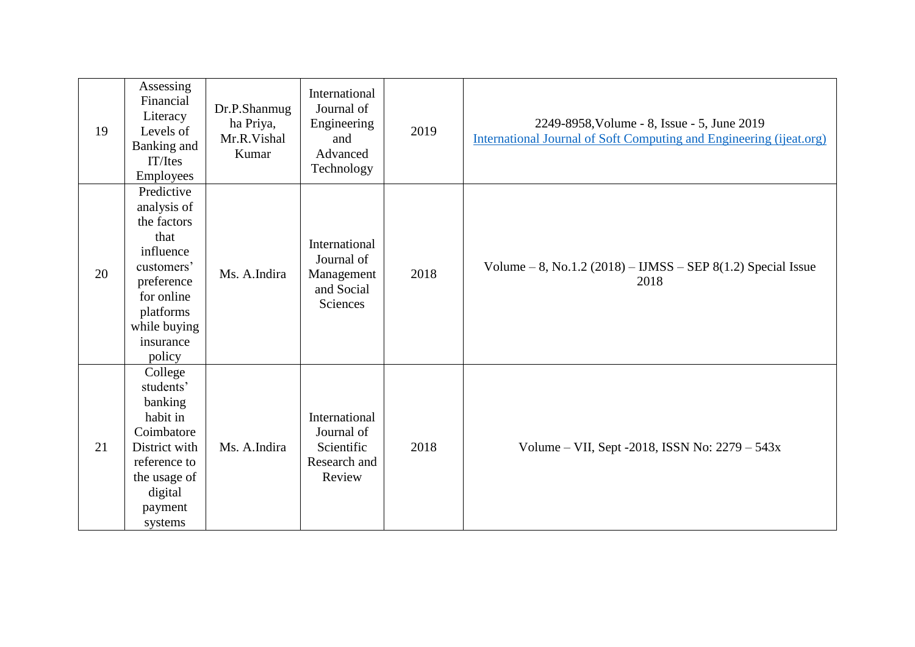| 19 | Assessing<br>Financial<br>Literacy<br>Levels of<br>Banking and<br>IT/Ites<br>Employees                                                                      | Dr.P.Shanmug<br>ha Priya,<br>Mr.R.Vishal<br>Kumar | International<br>Journal of<br>Engineering<br>and<br>Advanced<br>Technology | 2019 | 2249-8958, Volume - 8, Issue - 5, June 2019<br>International Journal of Soft Computing and Engineering (ijeat.org) |
|----|-------------------------------------------------------------------------------------------------------------------------------------------------------------|---------------------------------------------------|-----------------------------------------------------------------------------|------|--------------------------------------------------------------------------------------------------------------------|
| 20 | Predictive<br>analysis of<br>the factors<br>that<br>influence<br>customers'<br>preference<br>for online<br>platforms<br>while buying<br>insurance<br>policy | Ms. A.Indira                                      | International<br>Journal of<br>Management<br>and Social<br>Sciences         | 2018 | Volume $-8$ , No.1.2 (2018) $-$ IJMSS $-$ SEP 8(1.2) Special Issue<br>2018                                         |
| 21 | College<br>students'<br>banking<br>habit in<br>Coimbatore<br>District with<br>reference to<br>the usage of<br>digital<br>payment<br>systems                 | Ms. A.Indira                                      | International<br>Journal of<br>Scientific<br>Research and<br>Review         | 2018 | Volume – VII, Sept -2018, ISSN No: $2279 - 543x$                                                                   |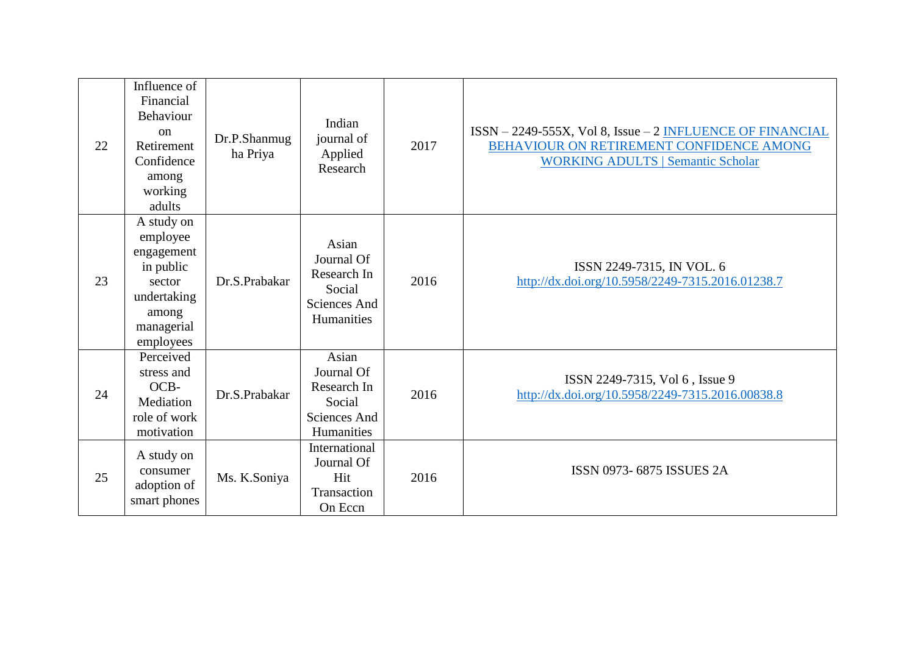| 22 | Influence of<br>Financial<br>Behaviour<br>$_{\rm on}$<br>Retirement<br>Confidence<br>among<br>working<br>adults | Dr.P.Shanmug<br>ha Priya | Indian<br>journal of<br>Applied<br>Research                                | 2017 | $ISSN-2249-555X$ , Vol 8, Issue $-2$ INFLUENCE OF FINANCIAL<br>BEHAVIOUR ON RETIREMENT CONFIDENCE AMONG<br><b>WORKING ADULTS   Semantic Scholar</b> |
|----|-----------------------------------------------------------------------------------------------------------------|--------------------------|----------------------------------------------------------------------------|------|-----------------------------------------------------------------------------------------------------------------------------------------------------|
| 23 | A study on<br>employee<br>engagement<br>in public<br>sector<br>undertaking<br>among<br>managerial<br>employees  | Dr.S.Prabakar            | Asian<br>Journal Of<br>Research In<br>Social<br>Sciences And<br>Humanities | 2016 | ISSN 2249-7315, IN VOL. 6<br>http://dx.doi.org/10.5958/2249-7315.2016.01238.7                                                                       |
| 24 | Perceived<br>stress and<br>OCB-<br>Mediation<br>role of work<br>motivation                                      | Dr.S.Prabakar            | Asian<br>Journal Of<br>Research In<br>Social<br>Sciences And<br>Humanities | 2016 | ISSN 2249-7315, Vol 6, Issue 9<br>http://dx.doi.org/10.5958/2249-7315.2016.00838.8                                                                  |
| 25 | A study on<br>consumer<br>adoption of<br>smart phones                                                           | Ms. K.Soniya             | International<br>Journal Of<br>Hit<br>Transaction<br>On Eccn               | 2016 | ISSN 0973-6875 ISSUES 2A                                                                                                                            |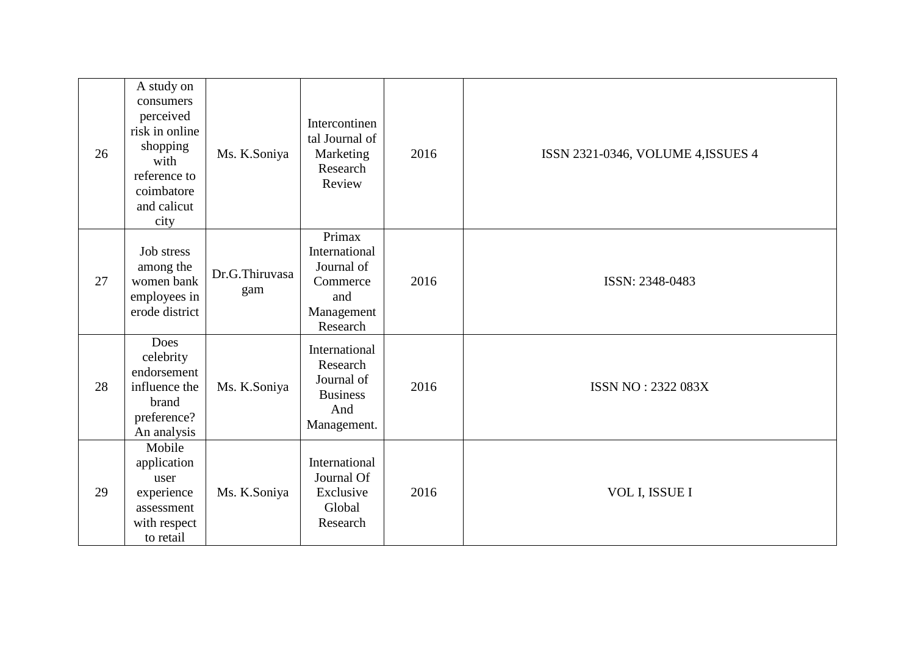| 26 | A study on<br>consumers<br>perceived<br>risk in online<br>shopping<br>with<br>reference to<br>coimbatore<br>and calicut<br>city | Ms. K.Soniya          | Intercontinen<br>tal Journal of<br>Marketing<br>Research<br>Review                 | 2016 | ISSN 2321-0346, VOLUME 4, ISSUES 4 |
|----|---------------------------------------------------------------------------------------------------------------------------------|-----------------------|------------------------------------------------------------------------------------|------|------------------------------------|
| 27 | Job stress<br>among the<br>women bank<br>employees in<br>erode district                                                         | Dr.G.Thiruvasa<br>gam | Primax<br>International<br>Journal of<br>Commerce<br>and<br>Management<br>Research | 2016 | ISSN: 2348-0483                    |
| 28 | Does<br>celebrity<br>endorsement<br>influence the<br>brand<br>preference?<br>An analysis                                        | Ms. K.Soniya          | International<br>Research<br>Journal of<br><b>Business</b><br>And<br>Management.   | 2016 | ISSN NO: 2322 083X                 |
| 29 | Mobile<br>application<br>user<br>experience<br>assessment<br>with respect<br>to retail                                          | Ms. K.Soniya          | International<br>Journal Of<br>Exclusive<br>Global<br>Research                     | 2016 | VOL I, ISSUE I                     |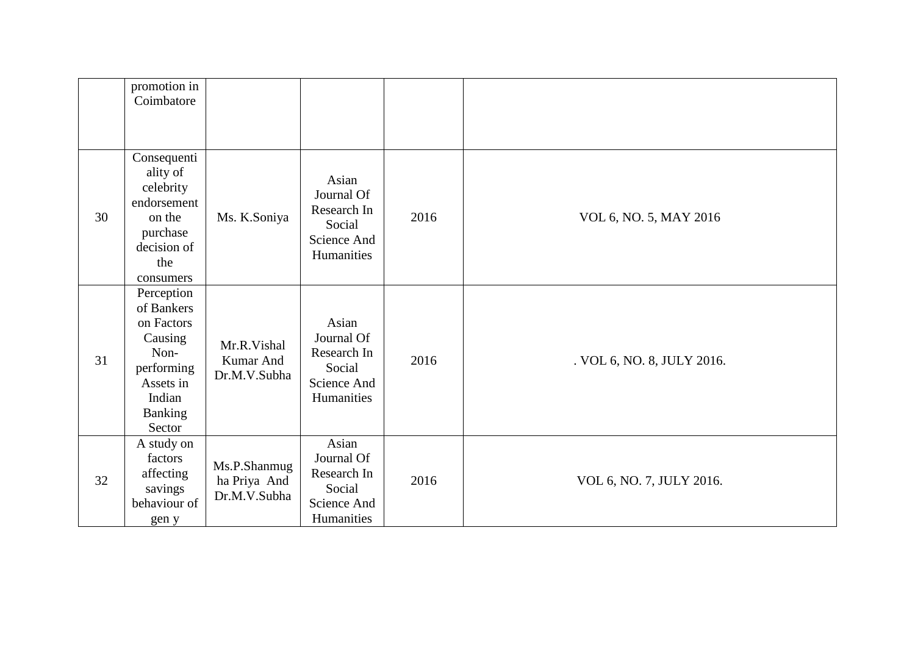|    | promotion in<br>Coimbatore                                                                                                 |                                              |                                                                           |      |                            |
|----|----------------------------------------------------------------------------------------------------------------------------|----------------------------------------------|---------------------------------------------------------------------------|------|----------------------------|
| 30 | Consequenti<br>ality of<br>celebrity<br>endorsement<br>on the<br>purchase<br>decision of<br>the<br>consumers               | Ms. K.Soniya                                 | Asian<br>Journal Of<br>Research In<br>Social<br>Science And<br>Humanities | 2016 | VOL 6, NO. 5, MAY 2016     |
| 31 | Perception<br>of Bankers<br>on Factors<br>Causing<br>Non-<br>performing<br>Assets in<br>Indian<br><b>Banking</b><br>Sector | Mr.R.Vishal<br>Kumar And<br>Dr.M.V.Subha     | Asian<br>Journal Of<br>Research In<br>Social<br>Science And<br>Humanities | 2016 | . VOL 6, NO. 8, JULY 2016. |
| 32 | A study on<br>factors<br>affecting<br>savings<br>behaviour of<br>gen y                                                     | Ms.P.Shanmug<br>ha Priya And<br>Dr.M.V.Subha | Asian<br>Journal Of<br>Research In<br>Social<br>Science And<br>Humanities | 2016 | VOL 6, NO. 7, JULY 2016.   |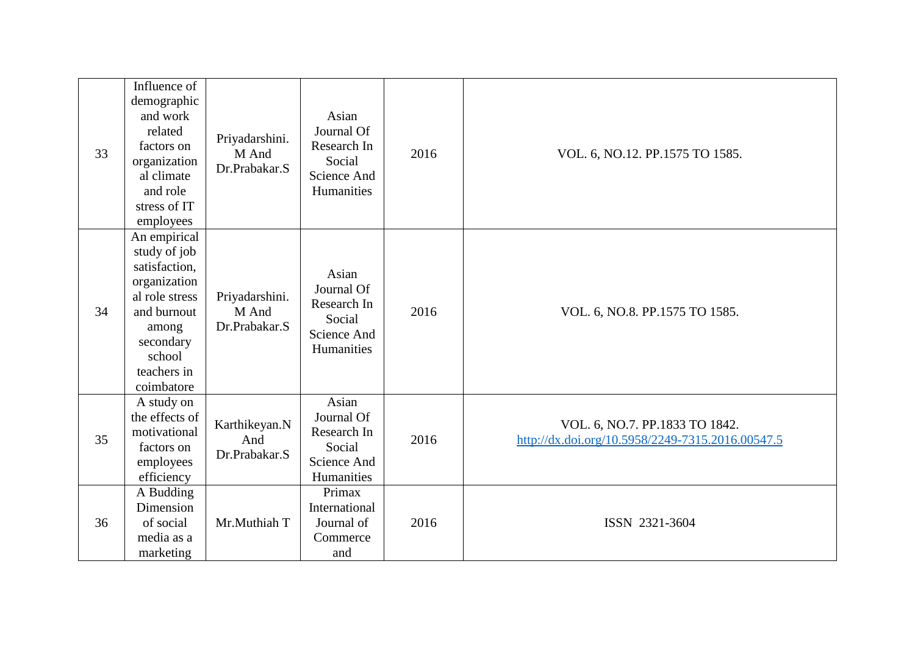| 33 | Influence of<br>demographic<br>and work<br>related<br>factors on<br>organization<br>al climate<br>and role<br>stress of IT<br>employees                     | Priyadarshini.<br>M And<br>Dr.Prabakar.S | Asian<br>Journal Of<br>Research In<br>Social<br>Science And<br>Humanities | 2016 | VOL. 6, NO.12. PP.1575 TO 1585.                                                    |
|----|-------------------------------------------------------------------------------------------------------------------------------------------------------------|------------------------------------------|---------------------------------------------------------------------------|------|------------------------------------------------------------------------------------|
| 34 | An empirical<br>study of job<br>satisfaction,<br>organization<br>al role stress<br>and burnout<br>among<br>secondary<br>school<br>teachers in<br>coimbatore | Priyadarshini.<br>M And<br>Dr.Prabakar.S | Asian<br>Journal Of<br>Research In<br>Social<br>Science And<br>Humanities | 2016 | VOL. 6, NO.8. PP.1575 TO 1585.                                                     |
| 35 | A study on<br>the effects of<br>motivational<br>factors on<br>employees<br>efficiency                                                                       | Karthikeyan.N<br>And<br>Dr.Prabakar.S    | Asian<br>Journal Of<br>Research In<br>Social<br>Science And<br>Humanities | 2016 | VOL. 6, NO.7. PP.1833 TO 1842.<br>http://dx.doi.org/10.5958/2249-7315.2016.00547.5 |
| 36 | A Budding<br>Dimension<br>of social<br>media as a<br>marketing                                                                                              | Mr.Muthiah T                             | Primax<br>International<br>Journal of<br>Commerce<br>and                  | 2016 | ISSN 2321-3604                                                                     |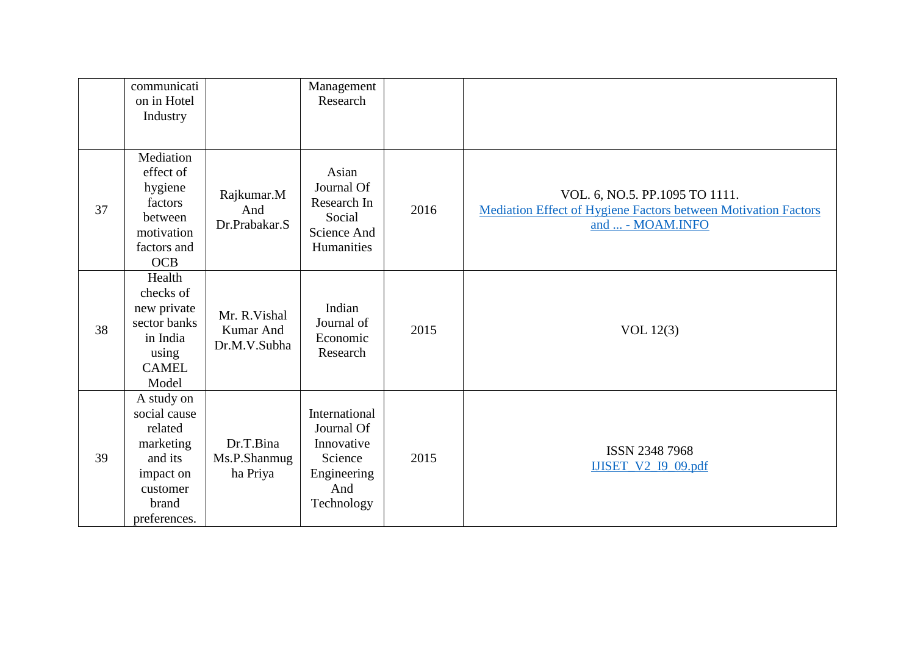|    | communicati<br>on in Hotel<br>Industry                                                                          |                                            | Management<br>Research                                                                   |      |                                                                                                                             |
|----|-----------------------------------------------------------------------------------------------------------------|--------------------------------------------|------------------------------------------------------------------------------------------|------|-----------------------------------------------------------------------------------------------------------------------------|
| 37 | Mediation<br>effect of<br>hygiene<br>factors<br>between<br>motivation<br>factors and<br><b>OCB</b>              | Rajkumar.M<br>And<br>Dr.Prabakar.S         | Asian<br>Journal Of<br>Research In<br>Social<br>Science And<br>Humanities                | 2016 | VOL. 6, NO.5. PP.1095 TO 1111.<br><b>Mediation Effect of Hygiene Factors between Motivation Factors</b><br>and  - MOAM.INFO |
| 38 | Health<br>checks of<br>new private<br>sector banks<br>in India<br>using<br><b>CAMEL</b><br>Model                | Mr. R. Vishal<br>Kumar And<br>Dr.M.V.Subha | Indian<br>Journal of<br>Economic<br>Research                                             | 2015 | VOL $12(3)$                                                                                                                 |
| 39 | A study on<br>social cause<br>related<br>marketing<br>and its<br>impact on<br>customer<br>brand<br>preferences. | Dr.T.Bina<br>Ms.P.Shanmug<br>ha Priya      | International<br>Journal Of<br>Innovative<br>Science<br>Engineering<br>And<br>Technology | 2015 | ISSN 2348 7968<br><b>IJISET_V2_I9_09.pdf</b>                                                                                |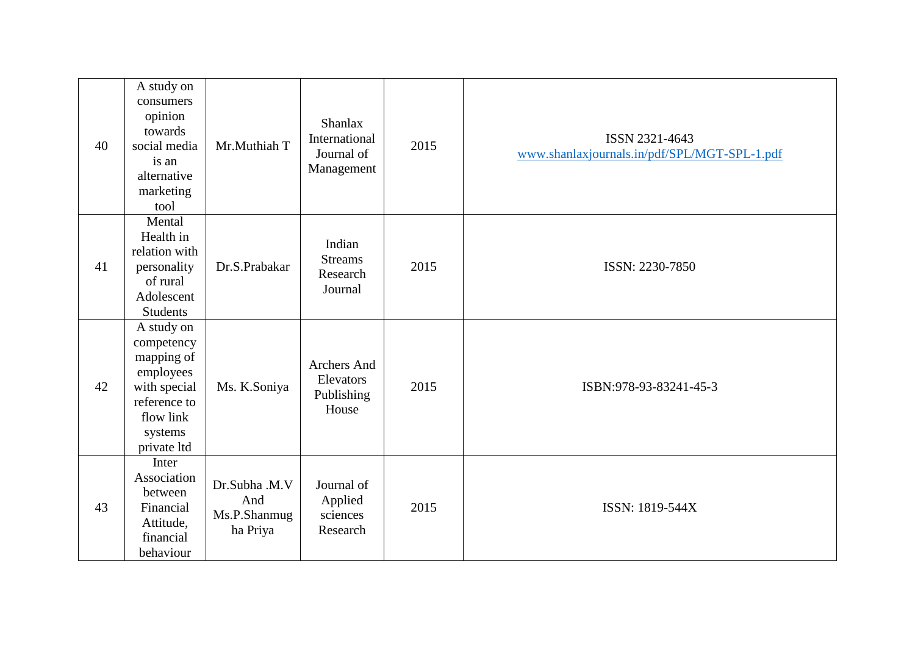| 40 | A study on<br>consumers<br>opinion<br>towards<br>social media<br>is an<br>alternative<br>marketing<br>tool                 | Mr.Muthiah T                                     | <b>Shanlax</b><br>International<br>Journal of<br>Management | 2015 | ISSN 2321-4643<br>www.shanlaxjournals.in/pdf/SPL/MGT-SPL-1.pdf |
|----|----------------------------------------------------------------------------------------------------------------------------|--------------------------------------------------|-------------------------------------------------------------|------|----------------------------------------------------------------|
| 41 | Mental<br>Health in<br>relation with<br>personality<br>of rural<br>Adolescent<br><b>Students</b>                           | Dr.S.Prabakar                                    | Indian<br><b>Streams</b><br>Research<br>Journal             | 2015 | ISSN: 2230-7850                                                |
| 42 | A study on<br>competency<br>mapping of<br>employees<br>with special<br>reference to<br>flow link<br>systems<br>private ltd | Ms. K.Soniya                                     | Archers And<br>Elevators<br>Publishing<br>House             | 2015 | ISBN:978-93-83241-45-3                                         |
| 43 | Inter<br>Association<br>between<br>Financial<br>Attitude,<br>financial<br>behaviour                                        | Dr.Subha .M.V<br>And<br>Ms.P.Shanmug<br>ha Priya | Journal of<br>Applied<br>sciences<br>Research               | 2015 | ISSN: 1819-544X                                                |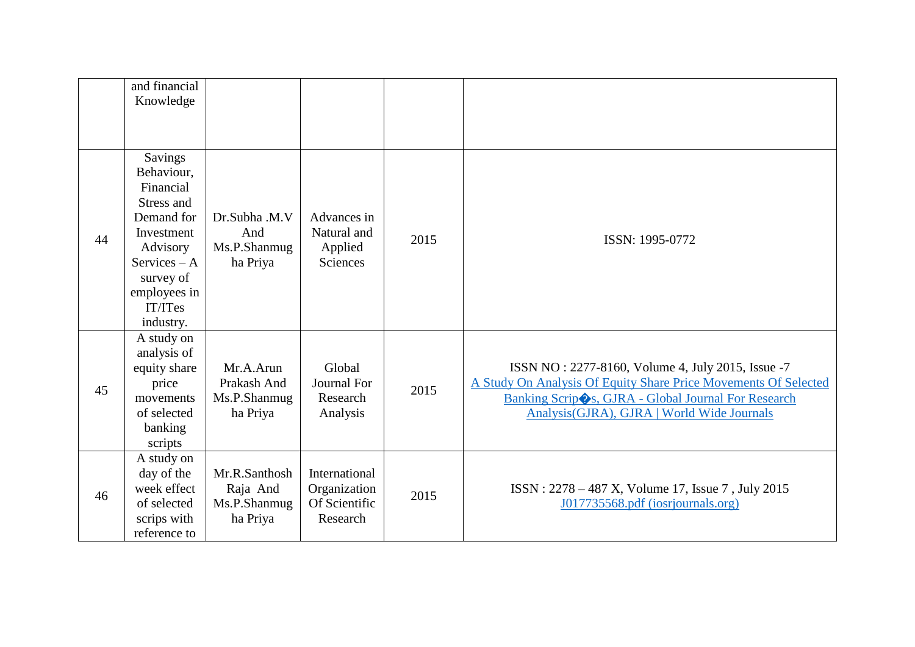|    | and financial<br>Knowledge                                                                                                                                       |                                                       |                                                            |      |                                                                                                                                                                                                                            |
|----|------------------------------------------------------------------------------------------------------------------------------------------------------------------|-------------------------------------------------------|------------------------------------------------------------|------|----------------------------------------------------------------------------------------------------------------------------------------------------------------------------------------------------------------------------|
| 44 | Savings<br>Behaviour,<br>Financial<br>Stress and<br>Demand for<br>Investment<br>Advisory<br>$S$ ervices – A<br>survey of<br>employees in<br>IT/ITes<br>industry. | Dr.Subha .M.V<br>And<br>Ms.P.Shanmug<br>ha Priya      | Advances in<br>Natural and<br>Applied<br><b>Sciences</b>   | 2015 | ISSN: 1995-0772                                                                                                                                                                                                            |
| 45 | A study on<br>analysis of<br>equity share<br>price<br>movements<br>of selected<br>banking<br>scripts                                                             | Mr.A.Arun<br>Prakash And<br>Ms.P.Shanmug<br>ha Priya  | Global<br><b>Journal For</b><br>Research<br>Analysis       | 2015 | ISSN NO: 2277-8160, Volume 4, July 2015, Issue -7<br>A Study On Analysis Of Equity Share Price Movements Of Selected<br>Banking Scrip Ss, GJRA - Global Journal For Research<br>Analysis(GJRA), GJRA   World Wide Journals |
| 46 | A study on<br>day of the<br>week effect<br>of selected<br>scrips with<br>reference to                                                                            | Mr.R.Santhosh<br>Raja And<br>Ms.P.Shanmug<br>ha Priya | International<br>Organization<br>Of Scientific<br>Research | 2015 | ISSN: 2278 – 487 X, Volume 17, Issue 7, July 2015<br>J017735568.pdf (iosrjournals.org)                                                                                                                                     |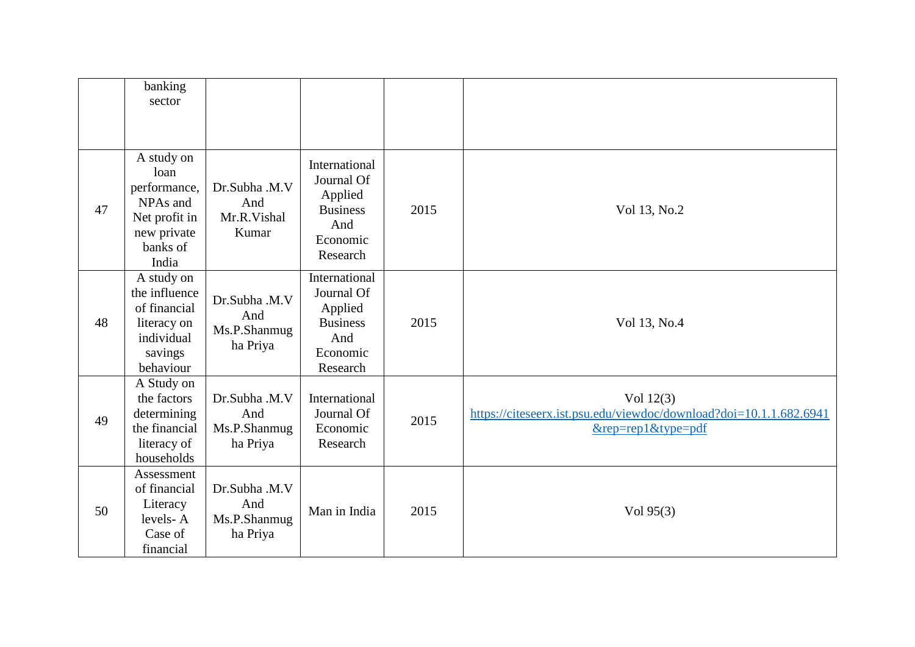|    | banking<br>sector                                                                                   |                                                  |                                                                                          |      |                                                                                                            |
|----|-----------------------------------------------------------------------------------------------------|--------------------------------------------------|------------------------------------------------------------------------------------------|------|------------------------------------------------------------------------------------------------------------|
| 47 | A study on<br>loan<br>performance,<br>NPAs and<br>Net profit in<br>new private<br>banks of<br>India | Dr.Subha .M.V<br>And<br>Mr.R.Vishal<br>Kumar     | International<br>Journal Of<br>Applied<br><b>Business</b><br>And<br>Economic<br>Research | 2015 | Vol 13, No.2                                                                                               |
| 48 | A study on<br>the influence<br>of financial<br>literacy on<br>individual<br>savings<br>behaviour    | Dr.Subha .M.V<br>And<br>Ms.P.Shanmug<br>ha Priya | International<br>Journal Of<br>Applied<br><b>Business</b><br>And<br>Economic<br>Research | 2015 | Vol 13, No.4                                                                                               |
| 49 | A Study on<br>the factors<br>determining<br>the financial<br>literacy of<br>households              | Dr.Subha .M.V<br>And<br>Ms.P.Shanmug<br>ha Priya | International<br>Journal Of<br>Economic<br>Research                                      | 2015 | Vol $12(3)$<br>https://citeseerx.ist.psu.edu/viewdoc/download?doi=10.1.1.682.6941<br>$&$ rep=rep1&type=pdf |
| 50 | Assessment<br>of financial<br>Literacy<br>levels-A<br>Case of<br>financial                          | Dr.Subha .M.V<br>And<br>Ms.P.Shanmug<br>ha Priya | Man in India                                                                             | 2015 | Vol 95(3)                                                                                                  |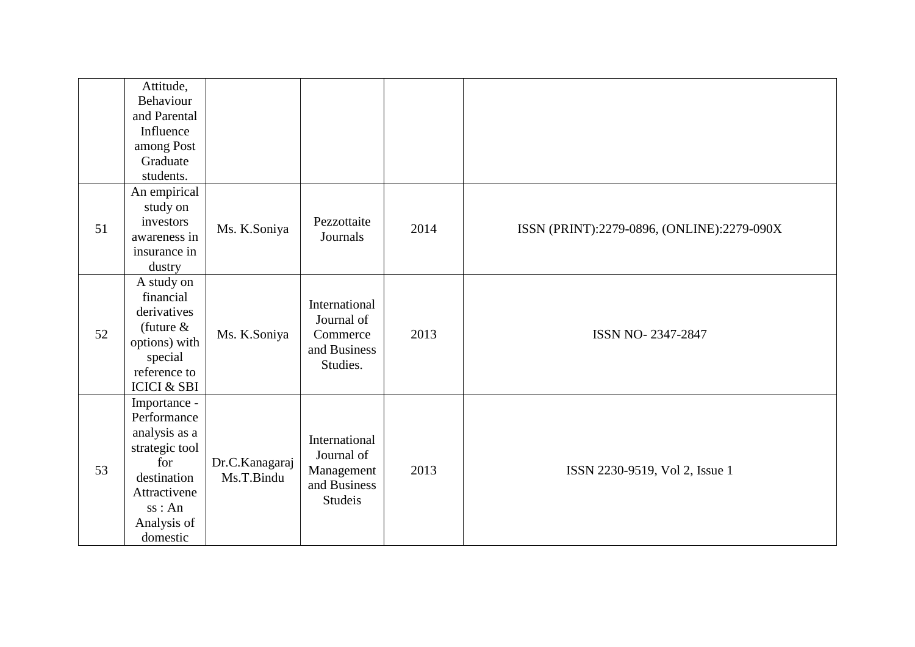|    | Attitude,<br>Behaviour<br>and Parental<br>Influence<br>among Post<br>Graduate<br>students.                                               |                              |                                                                             |      |                                            |
|----|------------------------------------------------------------------------------------------------------------------------------------------|------------------------------|-----------------------------------------------------------------------------|------|--------------------------------------------|
| 51 | An empirical<br>study on<br>investors<br>awareness in<br>insurance in<br>dustry                                                          | Ms. K.Soniya                 | Pezzottaite<br>Journals                                                     | 2014 | ISSN (PRINT):2279-0896, (ONLINE):2279-090X |
| 52 | A study on<br>financial<br>derivatives<br>(future $&$<br>options) with<br>special<br>reference to<br><b>ICICI &amp; SBI</b>              | Ms. K.Soniya                 | International<br>Journal of<br>Commerce<br>and Business<br>Studies.         | 2013 | ISSN NO-2347-2847                          |
| 53 | Importance -<br>Performance<br>analysis as a<br>strategic tool<br>for<br>destination<br>Attractivene<br>ss:An<br>Analysis of<br>domestic | Dr.C.Kanagaraj<br>Ms.T.Bindu | International<br>Journal of<br>Management<br>and Business<br><b>Studeis</b> | 2013 | ISSN 2230-9519, Vol 2, Issue 1             |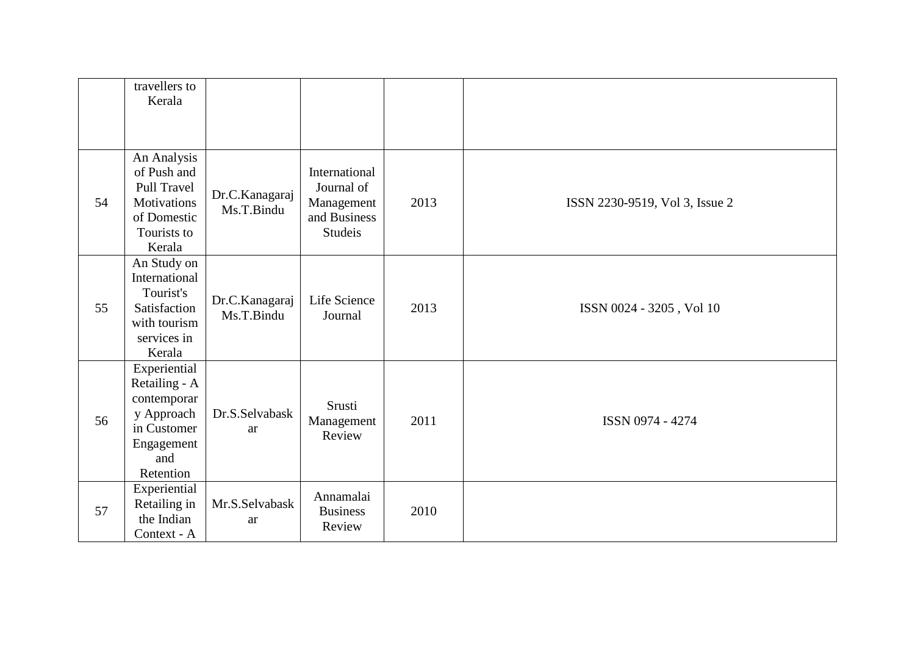|    | travellers to      |                              |                                                                             |      |                                |
|----|--------------------|------------------------------|-----------------------------------------------------------------------------|------|--------------------------------|
|    | Kerala             |                              |                                                                             |      |                                |
|    |                    |                              |                                                                             |      |                                |
|    |                    |                              |                                                                             |      |                                |
|    | An Analysis        |                              | International<br>Journal of<br>Management<br>and Business<br><b>Studeis</b> |      |                                |
|    | of Push and        |                              |                                                                             |      |                                |
|    | <b>Pull Travel</b> | Dr.C.Kanagaraj               |                                                                             |      |                                |
| 54 | Motivations        | Ms.T.Bindu                   |                                                                             | 2013 | ISSN 2230-9519, Vol 3, Issue 2 |
|    | of Domestic        |                              |                                                                             |      |                                |
|    | Tourists to        |                              |                                                                             |      |                                |
|    | Kerala             |                              |                                                                             |      |                                |
|    | An Study on        |                              | Life Science<br>Journal                                                     | 2013 |                                |
|    | International      |                              |                                                                             |      |                                |
|    | Tourist's          | Dr.C.Kanagaraj<br>Ms.T.Bindu |                                                                             |      | ISSN 0024 - 3205, Vol 10       |
| 55 | Satisfaction       |                              |                                                                             |      |                                |
|    | with tourism       |                              |                                                                             |      |                                |
|    | services in        |                              |                                                                             |      |                                |
|    | Kerala             |                              |                                                                             |      |                                |
|    | Experiential       | Dr.S.Selvabask<br>ar         | Srusti<br>Management<br>Review                                              | 2011 |                                |
|    | Retailing - A      |                              |                                                                             |      | ISSN 0974 - 4274               |
|    | contemporar        |                              |                                                                             |      |                                |
| 56 | y Approach         |                              |                                                                             |      |                                |
|    | in Customer        |                              |                                                                             |      |                                |
|    | Engagement         |                              |                                                                             |      |                                |
|    | and                |                              |                                                                             |      |                                |
|    | Retention          |                              |                                                                             |      |                                |
|    | Experiential       | Mr.S.Selvabask<br>ar         | Annamalai<br><b>Business</b><br>Review                                      | 2010 |                                |
| 57 | Retailing in       |                              |                                                                             |      |                                |
|    | the Indian         |                              |                                                                             |      |                                |
|    | Context - A        |                              |                                                                             |      |                                |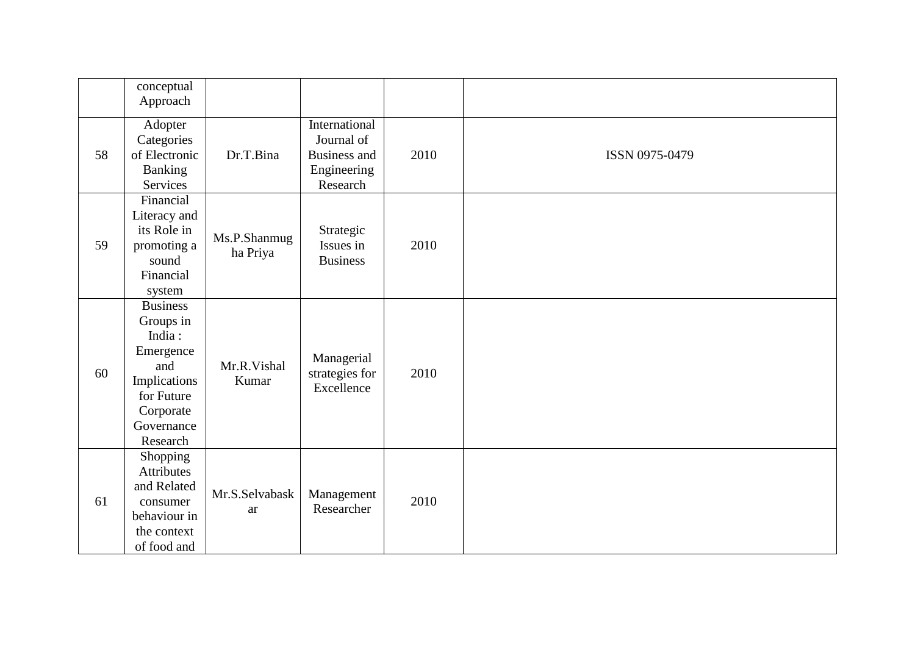|    | conceptual<br>Approach                                                                                                          |                          |                                                                               |      |                |
|----|---------------------------------------------------------------------------------------------------------------------------------|--------------------------|-------------------------------------------------------------------------------|------|----------------|
| 58 | Adopter<br>Categories<br>of Electronic<br><b>Banking</b><br>Services                                                            | Dr.T.Bina                | International<br>Journal of<br><b>Business and</b><br>Engineering<br>Research | 2010 | ISSN 0975-0479 |
| 59 | Financial<br>Literacy and<br>its Role in<br>promoting a<br>sound<br>Financial<br>system                                         | Ms.P.Shanmug<br>ha Priya | Strategic<br>Issues in<br><b>Business</b>                                     | 2010 |                |
| 60 | <b>Business</b><br>Groups in<br>India:<br>Emergence<br>and<br>Implications<br>for Future<br>Corporate<br>Governance<br>Research | Mr.R.Vishal<br>Kumar     | Managerial<br>strategies for<br>Excellence                                    | 2010 |                |
| 61 | Shopping<br><b>Attributes</b><br>and Related<br>consumer<br>behaviour in<br>the context<br>of food and                          | Mr.S.Selvabask<br>ar     | Management<br>Researcher                                                      | 2010 |                |